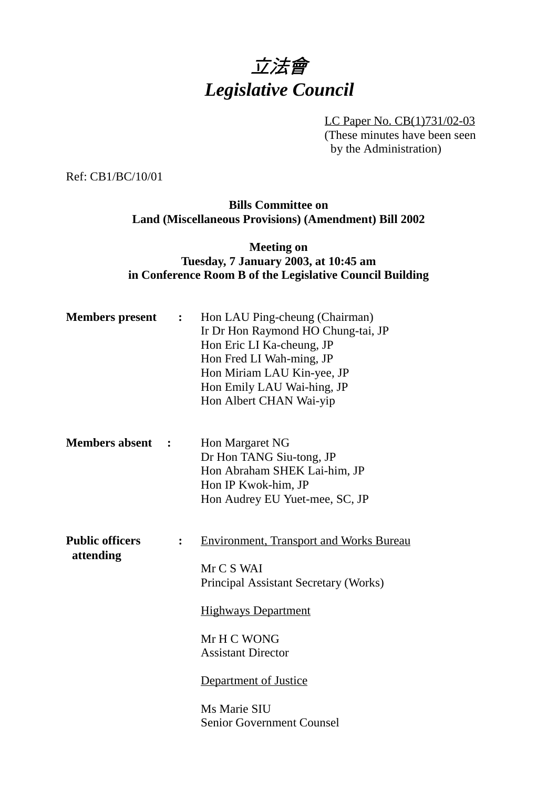

LC Paper No. CB(1)731/02-03 (These minutes have been seen by the Administration)

Ref: CB1/BC/10/01

**Bills Committee on Land (Miscellaneous Provisions) (Amendment) Bill 2002**

# **Meeting on Tuesday, 7 January 2003, at 10:45 am in Conference Room B of the Legislative Council Building**

| <b>Members</b> present              | $\ddot{\cdot}$ | Hon LAU Ping-cheung (Chairman)<br>Ir Dr Hon Raymond HO Chung-tai, JP<br>Hon Eric LI Ka-cheung, JP<br>Hon Fred LI Wah-ming, JP<br>Hon Miriam LAU Kin-yee, JP<br>Hon Emily LAU Wai-hing, JP<br>Hon Albert CHAN Wai-yip                                         |
|-------------------------------------|----------------|--------------------------------------------------------------------------------------------------------------------------------------------------------------------------------------------------------------------------------------------------------------|
| <b>Members absent</b>               |                | Hon Margaret NG<br>Dr Hon TANG Siu-tong, JP<br>Hon Abraham SHEK Lai-him, JP<br>Hon IP Kwok-him, JP<br>Hon Audrey EU Yuet-mee, SC, JP                                                                                                                         |
| <b>Public officers</b><br>attending |                | <b>Environment, Transport and Works Bureau</b><br>Mr C S WAI<br>Principal Assistant Secretary (Works)<br><b>Highways Department</b><br>Mr H C WONG<br><b>Assistant Director</b><br>Department of Justice<br>Ms Marie SIU<br><b>Senior Government Counsel</b> |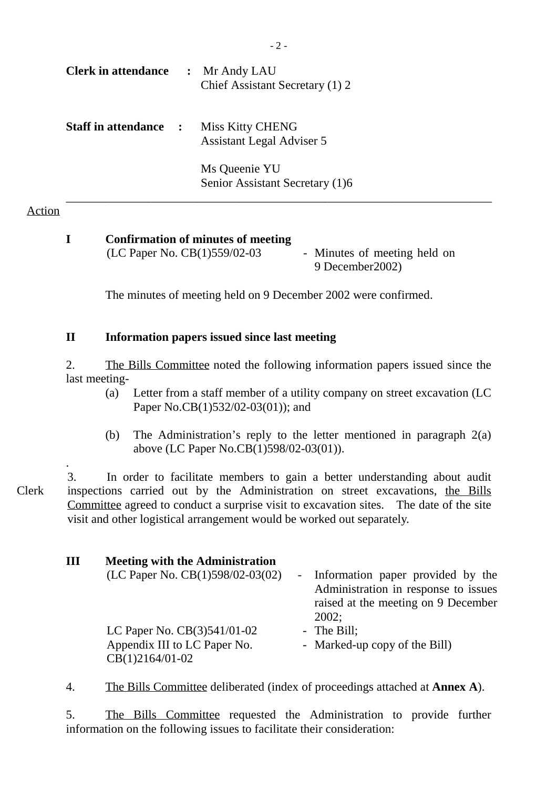| <b>Clerk in attendance</b>   | $\ddot{\cdot}$ | Mr Andy LAU<br>Chief Assistant Secretary (1) 2   |
|------------------------------|----------------|--------------------------------------------------|
| <b>Staff in attendance :</b> |                | Miss Kitty CHENG<br>Assistant Legal Adviser 5    |
|                              |                | Ms Queenie YU<br>Senior Assistant Secretary (1)6 |

### Action

.

| Confirmation of minutes of meeting |                              |
|------------------------------------|------------------------------|
| (LC Paper No. $CB(1)559/02-03$ )   | - Minutes of meeting held on |
|                                    | 9 December 2002)             |

The minutes of meeting held on 9 December 2002 were confirmed.

## **II Information papers issued since last meeting**

2. The Bills Committee noted the following information papers issued since the last meeting-

- (a) Letter from a staff member of a utility company on street excavation (LC Paper No.CB(1)532/02-03(01)); and
- (b) The Administration's reply to the letter mentioned in paragraph 2(a) above (LC Paper No.CB(1)598/02-03(01)).

Clerk 3. In order to facilitate members to gain a better understanding about audit inspections carried out by the Administration on street excavations, the Bills Committee agreed to conduct a surprise visit to excavation sites. The date of the site visit and other logistical arrangement would be worked out separately.

| - Information paper provided by the<br>Administration in response to issues<br>raised at the meeting on 9 December |
|--------------------------------------------------------------------------------------------------------------------|
|                                                                                                                    |
|                                                                                                                    |
|                                                                                                                    |

4. The Bills Committee deliberated (index of proceedings attached at **Annex A**).

5. The Bills Committee requested the Administration to provide further information on the following issues to facilitate their consideration: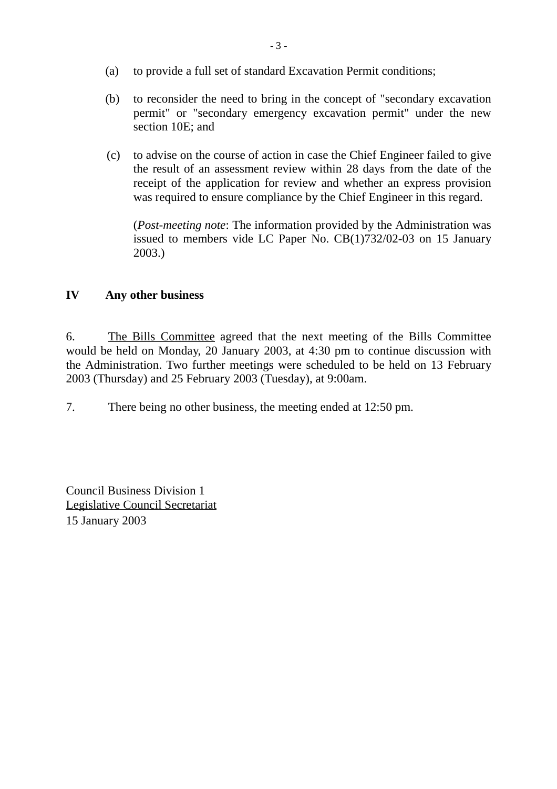- (a) to provide a full set of standard Excavation Permit conditions;
- (b) to reconsider the need to bring in the concept of "secondary excavation permit" or "secondary emergency excavation permit" under the new section 10E; and
- (c) to advise on the course of action in case the Chief Engineer failed to give the result of an assessment review within 28 days from the date of the receipt of the application for review and whether an express provision was required to ensure compliance by the Chief Engineer in this regard.

(*Post-meeting note*: The information provided by the Administration was issued to members vide LC Paper No. CB(1)732/02-03 on 15 January 2003.)

# **IV Any other business**

6. The Bills Committee agreed that the next meeting of the Bills Committee would be held on Monday, 20 January 2003, at 4:30 pm to continue discussion with the Administration. Two further meetings were scheduled to be held on 13 February 2003 (Thursday) and 25 February 2003 (Tuesday), at 9:00am.

7. There being no other business, the meeting ended at 12:50 pm.

Council Business Division 1 Legislative Council Secretariat 15 January 2003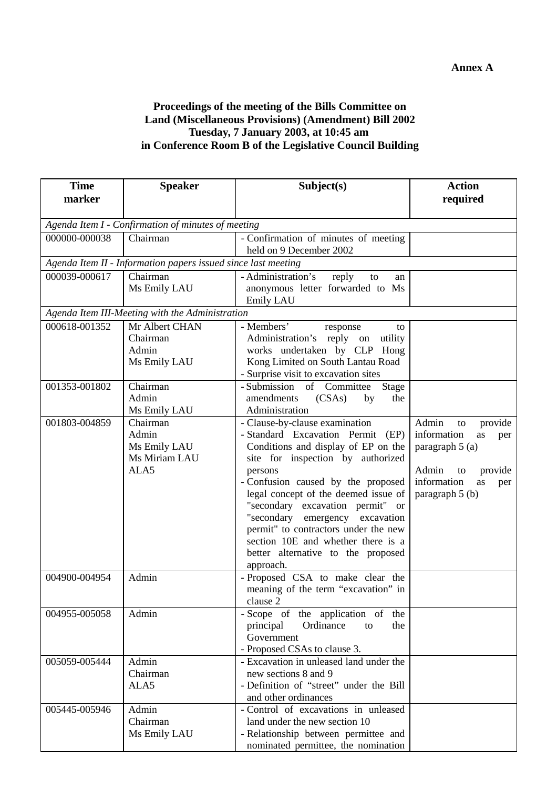### **Proceedings of the meeting of the Bills Committee on Land (Miscellaneous Provisions) (Amendment) Bill 2002 Tuesday, 7 January 2003, at 10:45 am in Conference Room B of the Legislative Council Building**

| <b>Time</b>   | <b>Speaker</b>                                                | Subject(s)                                                        | <b>Action</b>            |
|---------------|---------------------------------------------------------------|-------------------------------------------------------------------|--------------------------|
| marker        |                                                               |                                                                   | required                 |
|               |                                                               |                                                                   |                          |
|               | Agenda Item I - Confirmation of minutes of meeting            |                                                                   |                          |
| 000000-000038 | Chairman                                                      | - Confirmation of minutes of meeting                              |                          |
|               |                                                               | held on 9 December 2002                                           |                          |
|               | Agenda Item II - Information papers issued since last meeting |                                                                   |                          |
| 000039-000617 | Chairman                                                      | - Administration's<br>reply<br>to<br>an                           |                          |
|               | Ms Emily LAU                                                  | anonymous letter forwarded to Ms                                  |                          |
|               |                                                               | Emily LAU                                                         |                          |
|               | Agenda Item III-Meeting with the Administration               |                                                                   |                          |
| 000618-001352 | Mr Albert CHAN                                                | - Members'<br>response<br>to                                      |                          |
|               | Chairman                                                      | Administration's reply on<br>utility                              |                          |
|               | Admin                                                         | works undertaken by CLP Hong                                      |                          |
|               | Ms Emily LAU                                                  | Kong Limited on South Lantau Road                                 |                          |
|               | Chairman                                                      | - Surprise visit to excavation sites<br>- Submission of Committee |                          |
| 001353-001802 | Admin                                                         | <b>Stage</b><br>amendments<br>(CSAs)<br>the<br>by                 |                          |
|               | Ms Emily LAU                                                  | Administration                                                    |                          |
| 001803-004859 | Chairman                                                      | - Clause-by-clause examination                                    | Admin<br>provide<br>to   |
|               | Admin                                                         | - Standard Excavation Permit (EP)                                 | information<br>as<br>per |
|               | Ms Emily LAU                                                  | Conditions and display of EP on the                               | paragraph 5 (a)          |
|               | Ms Miriam LAU                                                 | site for inspection by authorized                                 |                          |
|               | ALA5                                                          | persons                                                           | Admin<br>provide<br>to   |
|               |                                                               | - Confusion caused by the proposed                                | information<br>as<br>per |
|               |                                                               | legal concept of the deemed issue of                              | paragraph 5 (b)          |
|               |                                                               | "secondary excavation permit" or                                  |                          |
|               |                                                               | "secondary emergency excavation                                   |                          |
|               |                                                               | permit" to contractors under the new                              |                          |
|               |                                                               | section 10E and whether there is a                                |                          |
|               |                                                               | better alternative to the proposed                                |                          |
|               |                                                               | approach.                                                         |                          |
| 004900-004954 | Admin                                                         | - Proposed CSA to make clear the                                  |                          |
|               |                                                               | meaning of the term "excavation" in                               |                          |
|               |                                                               | clause 2                                                          |                          |
| 004955-005058 | Admin                                                         | - Scope of the application of the<br>Ordinance<br>the<br>to       |                          |
|               |                                                               | principal<br>Government                                           |                          |
|               |                                                               | - Proposed CSAs to clause 3.                                      |                          |
| 005059-005444 | Admin                                                         | - Excavation in unleased land under the                           |                          |
|               | Chairman                                                      | new sections 8 and 9                                              |                          |
|               | ALA5                                                          | - Definition of "street" under the Bill                           |                          |
|               |                                                               | and other ordinances                                              |                          |
| 005445-005946 | Admin                                                         | - Control of excavations in unleased                              |                          |
|               | Chairman                                                      | land under the new section 10                                     |                          |
|               | Ms Emily LAU                                                  | - Relationship between permittee and                              |                          |
|               |                                                               | nominated permittee, the nomination                               |                          |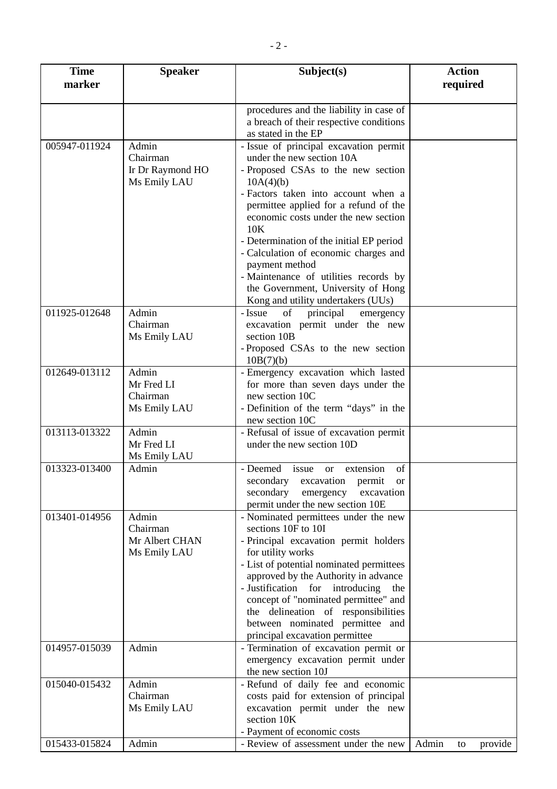| <b>Time</b><br>marker | <b>Speaker</b>                                        | Subject(s)                                                                                                                                                                                                                                                                                                                                                                                                                                                                        | <b>Action</b><br>required |
|-----------------------|-------------------------------------------------------|-----------------------------------------------------------------------------------------------------------------------------------------------------------------------------------------------------------------------------------------------------------------------------------------------------------------------------------------------------------------------------------------------------------------------------------------------------------------------------------|---------------------------|
|                       |                                                       |                                                                                                                                                                                                                                                                                                                                                                                                                                                                                   |                           |
|                       |                                                       | procedures and the liability in case of<br>a breach of their respective conditions<br>as stated in the EP                                                                                                                                                                                                                                                                                                                                                                         |                           |
| 005947-011924         | Admin<br>Chairman<br>Ir Dr Raymond HO<br>Ms Emily LAU | - Issue of principal excavation permit<br>under the new section 10A<br>- Proposed CSAs to the new section<br>10A(4)(b)<br>- Factors taken into account when a<br>permittee applied for a refund of the<br>economic costs under the new section<br>10K<br>- Determination of the initial EP period<br>- Calculation of economic charges and<br>payment method<br>- Maintenance of utilities records by<br>the Government, University of Hong<br>Kong and utility undertakers (UUs) |                           |
| 011925-012648         | Admin<br>Chairman<br>Ms Emily LAU                     | - Issue<br>of<br>principal<br>emergency<br>excavation permit under the new<br>section 10B<br>- Proposed CSAs to the new section<br>10B(7)(b)                                                                                                                                                                                                                                                                                                                                      |                           |
| 012649-013112         | Admin<br>Mr Fred LI<br>Chairman<br>Ms Emily LAU       | - Emergency excavation which lasted<br>for more than seven days under the<br>new section 10C<br>- Definition of the term "days" in the<br>new section 10C                                                                                                                                                                                                                                                                                                                         |                           |
| 013113-013322         | Admin<br>Mr Fred LI<br>Ms Emily LAU                   | - Refusal of issue of excavation permit<br>under the new section 10D                                                                                                                                                                                                                                                                                                                                                                                                              |                           |
| 013323-013400         | Admin                                                 | - Deemed<br>issue<br>extension<br>of<br><sub>or</sub><br>secondary excavation permit or<br>secondary<br>emergency<br>excavation<br>permit under the new section 10E                                                                                                                                                                                                                                                                                                               |                           |
| 013401-014956         | Admin<br>Chairman<br>Mr Albert CHAN<br>Ms Emily LAU   | - Nominated permittees under the new<br>sections 10F to 10I<br>- Principal excavation permit holders<br>for utility works<br>- List of potential nominated permittees<br>approved by the Authority in advance<br>- Justification for introducing<br>the<br>concept of "nominated permittee" and<br>the delineation of responsibilities<br>between nominated permittee and<br>principal excavation permittee                                                                       |                           |
| 014957-015039         | Admin                                                 | - Termination of excavation permit or<br>emergency excavation permit under<br>the new section 10J                                                                                                                                                                                                                                                                                                                                                                                 |                           |
| 015040-015432         | Admin<br>Chairman<br>Ms Emily LAU                     | - Refund of daily fee and economic<br>costs paid for extension of principal<br>excavation permit under the new<br>section 10K<br>- Payment of economic costs                                                                                                                                                                                                                                                                                                                      |                           |
| 015433-015824         | Admin                                                 | - Review of assessment under the new                                                                                                                                                                                                                                                                                                                                                                                                                                              | Admin<br>provide<br>to    |